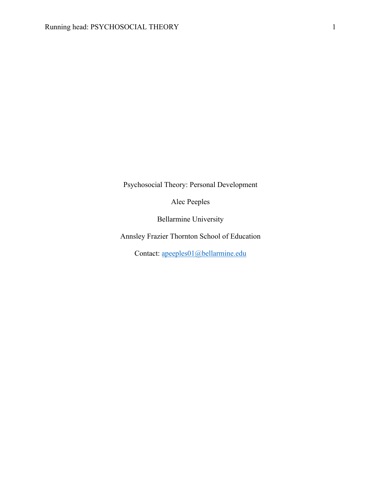Psychosocial Theory: Personal Development

Alec Peeples

Bellarmine University

Annsley Frazier Thornton School of Education

Contact: apeeples01@bellarmine.edu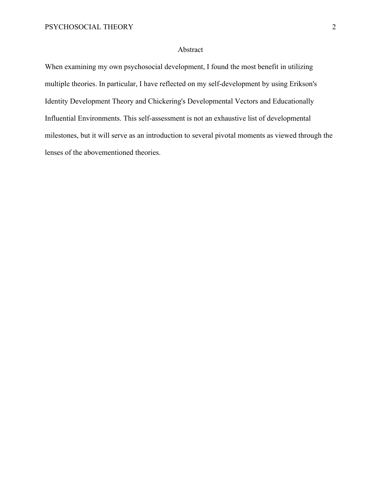## Abstract

When examining my own psychosocial development, I found the most benefit in utilizing multiple theories. In particular, I have reflected on my self-development by using Erikson's Identity Development Theory and Chickering's Developmental Vectors and Educationally Influential Environments. This self-assessment is not an exhaustive list of developmental milestones, but it will serve as an introduction to several pivotal moments as viewed through the lenses of the abovementioned theories.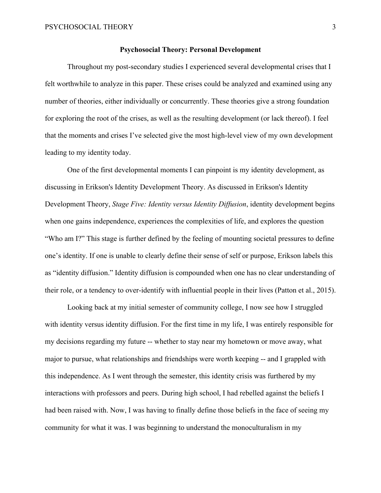#### **Psychosocial Theory: Personal Development**

Throughout my post-secondary studies I experienced several developmental crises that I felt worthwhile to analyze in this paper. These crises could be analyzed and examined using any number of theories, either individually or concurrently. These theories give a strong foundation for exploring the root of the crises, as well as the resulting development (or lack thereof). I feel that the moments and crises I've selected give the most high-level view of my own development leading to my identity today.

One of the first developmental moments I can pinpoint is my identity development, as discussing in Erikson's Identity Development Theory. As discussed in Erikson's Identity Development Theory, *Stage Five: Identity versus Identity Diffusion*, identity development begins when one gains independence, experiences the complexities of life, and explores the question "Who am I?" This stage is further defined by the feeling of mounting societal pressures to define one's identity. If one is unable to clearly define their sense of self or purpose, Erikson labels this as "identity diffusion." Identity diffusion is compounded when one has no clear understanding of their role, or a tendency to over-identify with influential people in their lives (Patton et al., 2015).

Looking back at my initial semester of community college, I now see how I struggled with identity versus identity diffusion. For the first time in my life, I was entirely responsible for my decisions regarding my future -- whether to stay near my hometown or move away, what major to pursue, what relationships and friendships were worth keeping -- and I grappled with this independence. As I went through the semester, this identity crisis was furthered by my interactions with professors and peers. During high school, I had rebelled against the beliefs I had been raised with. Now, I was having to finally define those beliefs in the face of seeing my community for what it was. I was beginning to understand the monoculturalism in my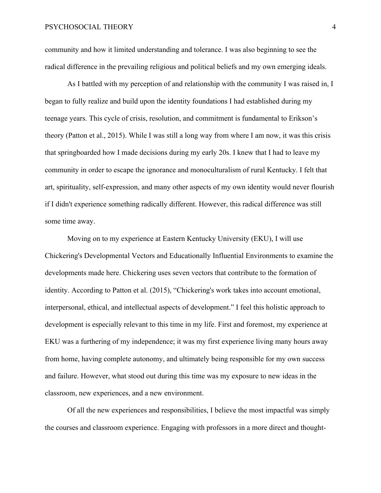community and how it limited understanding and tolerance. I was also beginning to see the radical difference in the prevailing religious and political beliefs and my own emerging ideals.

As I battled with my perception of and relationship with the community I was raised in, I began to fully realize and build upon the identity foundations I had established during my teenage years. This cycle of crisis, resolution, and commitment is fundamental to Erikson's theory (Patton et al., 2015). While I was still a long way from where I am now, it was this crisis that springboarded how I made decisions during my early 20s. I knew that I had to leave my community in order to escape the ignorance and monoculturalism of rural Kentucky. I felt that art, spirituality, self-expression, and many other aspects of my own identity would never flourish if I didn't experience something radically different. However, this radical difference was still some time away.

Moving on to my experience at Eastern Kentucky University (EKU), I will use Chickering's Developmental Vectors and Educationally Influential Environments to examine the developments made here. Chickering uses seven vectors that contribute to the formation of identity. According to Patton et al. (2015), "Chickering's work takes into account emotional, interpersonal, ethical, and intellectual aspects of development." I feel this holistic approach to development is especially relevant to this time in my life. First and foremost, my experience at EKU was a furthering of my independence; it was my first experience living many hours away from home, having complete autonomy, and ultimately being responsible for my own success and failure. However, what stood out during this time was my exposure to new ideas in the classroom, new experiences, and a new environment.

Of all the new experiences and responsibilities, I believe the most impactful was simply the courses and classroom experience. Engaging with professors in a more direct and thought-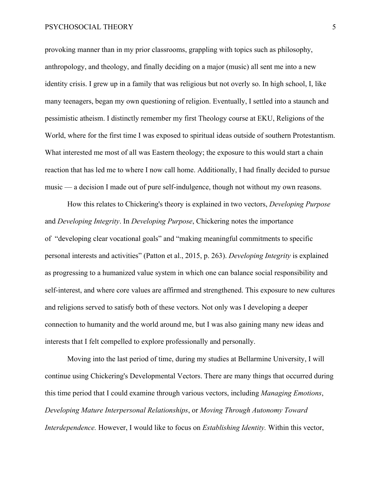### PSYCHOSOCIAL THEORY 5

provoking manner than in my prior classrooms, grappling with topics such as philosophy, anthropology, and theology, and finally deciding on a major (music) all sent me into a new identity crisis. I grew up in a family that was religious but not overly so. In high school, I, like many teenagers, began my own questioning of religion. Eventually, I settled into a staunch and pessimistic atheism. I distinctly remember my first Theology course at EKU, Religions of the World, where for the first time I was exposed to spiritual ideas outside of southern Protestantism. What interested me most of all was Eastern theology; the exposure to this would start a chain reaction that has led me to where I now call home. Additionally, I had finally decided to pursue music — a decision I made out of pure self-indulgence, though not without my own reasons.

How this relates to Chickering's theory is explained in two vectors, *Developing Purpose* and *Developing Integrity*. In *Developing Purpose*, Chickering notes the importance of "developing clear vocational goals" and "making meaningful commitments to specific personal interests and activities" (Patton et al., 2015, p. 263). *Developing Integrity* is explained as progressing to a humanized value system in which one can balance social responsibility and self-interest, and where core values are affirmed and strengthened. This exposure to new cultures and religions served to satisfy both of these vectors. Not only was I developing a deeper connection to humanity and the world around me, but I was also gaining many new ideas and interests that I felt compelled to explore professionally and personally.

Moving into the last period of time, during my studies at Bellarmine University, I will continue using Chickering's Developmental Vectors. There are many things that occurred during this time period that I could examine through various vectors, including *Managing Emotions*, *Developing Mature Interpersonal Relationships*, or *Moving Through Autonomy Toward Interdependence.* However, I would like to focus on *Establishing Identity.* Within this vector,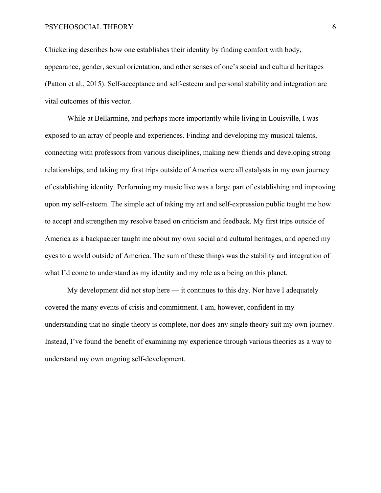### PSYCHOSOCIAL THEORY 6

Chickering describes how one establishes their identity by finding comfort with body, appearance, gender, sexual orientation, and other senses of one's social and cultural heritages (Patton et al., 2015). Self-acceptance and self-esteem and personal stability and integration are vital outcomes of this vector.

While at Bellarmine, and perhaps more importantly while living in Louisville, I was exposed to an array of people and experiences. Finding and developing my musical talents, connecting with professors from various disciplines, making new friends and developing strong relationships, and taking my first trips outside of America were all catalysts in my own journey of establishing identity. Performing my music live was a large part of establishing and improving upon my self-esteem. The simple act of taking my art and self-expression public taught me how to accept and strengthen my resolve based on criticism and feedback. My first trips outside of America as a backpacker taught me about my own social and cultural heritages, and opened my eyes to a world outside of America. The sum of these things was the stability and integration of what I'd come to understand as my identity and my role as a being on this planet.

My development did not stop here — it continues to this day. Nor have I adequately covered the many events of crisis and commitment. I am, however, confident in my understanding that no single theory is complete, nor does any single theory suit my own journey. Instead, I've found the benefit of examining my experience through various theories as a way to understand my own ongoing self-development.